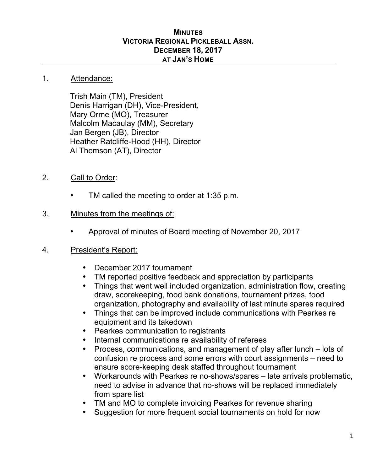### **MINUTES VICTORIA REGIONAL PICKLEBALL ASSN. DECEMBER 18, 2017 AT JAN'S HOME**

#### 1. Attendance:

Trish Main (TM), President Denis Harrigan (DH), Vice-President, Mary Orme (MO), Treasurer Malcolm Macaulay (MM), Secretary Jan Bergen (JB), Director Heather Ratcliffe-Hood (HH), Director Al Thomson (AT), Director

- 2. Call to Order:
	- TM called the meeting to order at 1:35 p.m.

## 3. Minutes from the meetings of:

• Approval of minutes of Board meeting of November 20, 2017

## 4. President's Report:

- December 2017 tournament
- TM reported positive feedback and appreciation by participants
- Things that went well included organization, administration flow, creating draw, scorekeeping, food bank donations, tournament prizes, food organization, photography and availability of last minute spares required
- Things that can be improved include communications with Pearkes re equipment and its takedown
- Pearkes communication to registrants
- Internal communications re availability of referees
- Process, communications, and management of play after lunch lots of confusion re process and some errors with court assignments – need to ensure score-keeping desk staffed throughout tournament
- Workarounds with Pearkes re no-shows/spares late arrivals problematic, need to advise in advance that no-shows will be replaced immediately from spare list
- TM and MO to complete invoicing Pearkes for revenue sharing
- Suggestion for more frequent social tournaments on hold for now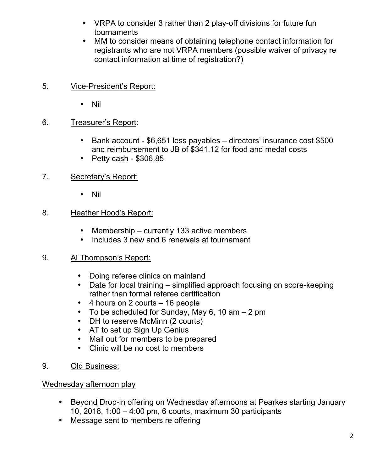- VRPA to consider 3 rather than 2 play-off divisions for future fun tournaments
- MM to consider means of obtaining telephone contact information for registrants who are not VRPA members (possible waiver of privacy re contact information at time of registration?)
- 5. Vice-President's Report:
	- Nil

# 6. Treasurer's Report:

- Bank account \$6,651 less payables directors' insurance cost \$500 and reimbursement to JB of \$341.12 for food and medal costs
- Petty cash \$306.85
- 7. Secretary's Report:
	- Nil

# 8. Heather Hood's Report:

- Membership currently 133 active members
- Includes 3 new and 6 renewals at tournament

# 9. Al Thompson's Report:

- Doing referee clinics on mainland
- Date for local training simplified approach focusing on score-keeping rather than formal referee certification
- 4 hours on 2 courts 16 people
- To be scheduled for Sunday, May 6, 10 am  $-2$  pm
- DH to reserve McMinn (2 courts)
- AT to set up Sign Up Genius
- Mail out for members to be prepared
- Clinic will be no cost to members
- 9. Old Business:

# Wednesday afternoon play

- Beyond Drop-in offering on Wednesday afternoons at Pearkes starting January 10, 2018, 1:00 – 4:00 pm, 6 courts, maximum 30 participants
- Message sent to members re offering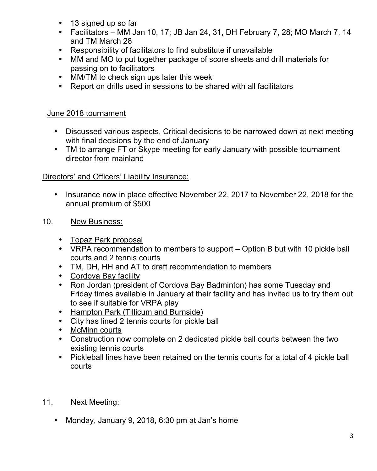- 13 signed up so far
- Facilitators MM Jan 10, 17; JB Jan 24, 31, DH February 7, 28; MO March 7, 14 and TM March 28
- Responsibility of facilitators to find substitute if unavailable
- MM and MO to put together package of score sheets and drill materials for passing on to facilitators
- MM/TM to check sign ups later this week
- Report on drills used in sessions to be shared with all facilitators

## June 2018 tournament

- Discussed various aspects. Critical decisions to be narrowed down at next meeting with final decisions by the end of January
- TM to arrange FT or Skype meeting for early January with possible tournament director from mainland

# Directors' and Officers' Liability Insurance:

- Insurance now in place effective November 22, 2017 to November 22, 2018 for the annual premium of \$500
- 10. New Business:
	- Topaz Park proposal
	- VRPA recommendation to members to support Option B but with 10 pickle ball courts and 2 tennis courts
	- TM, DH, HH and AT to draft recommendation to members
	- Cordova Bay facility
	- Ron Jordan (president of Cordova Bay Badminton) has some Tuesday and Friday times available in January at their facility and has invited us to try them out to see if suitable for VRPA play
	- Hampton Park (Tillicum and Burnside)
	- City has lined 2 tennis courts for pickle ball
	- McMinn courts
	- Construction now complete on 2 dedicated pickle ball courts between the two existing tennis courts
	- Pickleball lines have been retained on the tennis courts for a total of 4 pickle ball courts

# 11. Next Meeting:

• Monday, January 9, 2018, 6:30 pm at Jan's home